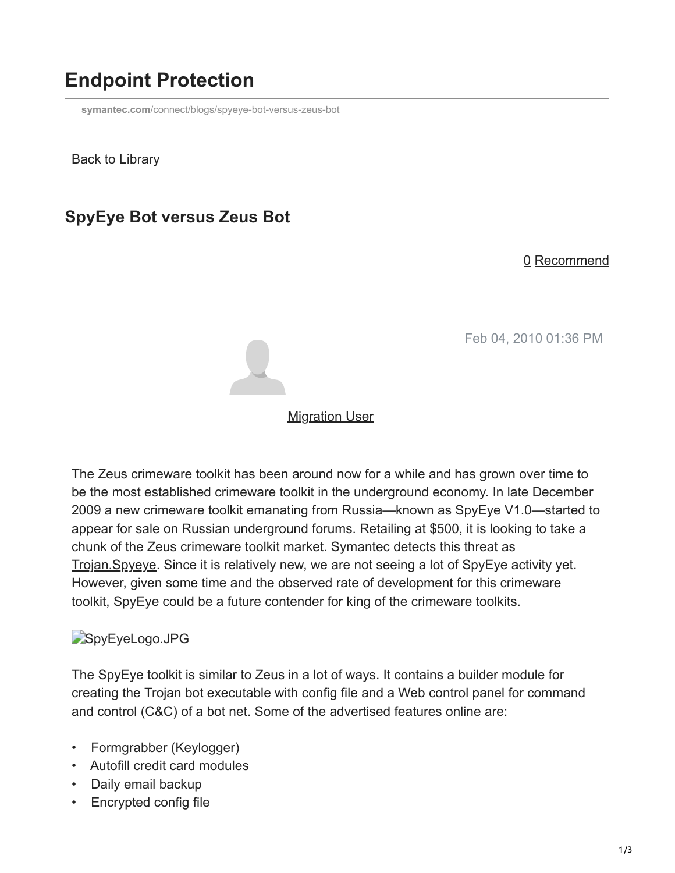# **Endpoint Protection**

**symantec.com**[/connect/blogs/spyeye-bot-versus-zeus-bot](https://www.symantec.com/connect/blogs/spyeye-bot-versus-zeus-bot)

#### Back to Library

## **SpyEye Bot versus Zeus Bot**

#### 0 Recommend

Feb 04, 2010 01:36 PM



#### **[Migration User](https://community.broadcom.com/symantecenterprise/network/members/profile?UserKey=909a8e41-f1e7-45af-914a-628128e3819f)**

The [Zeus](https://community.broadcom.com/symantecenterprise/viewdocument?DocumentKey=492d9040-f3db-45f0-9b53-fd919f879b3f&CommunityKey=1ecf5f55-9545-44d6-b0f4-4e4a7f5f5e68&tab=librarydocuments) crimeware toolkit has been around now for a while and has grown over time to be the most established crimeware toolkit in the underground economy. In late December 2009 a new crimeware toolkit emanating from Russia—known as SpyEye V1.0—started to appear for sale on Russian underground forums. Retailing at \$500, it is looking to take a chunk of the Zeus crimeware toolkit market. Symantec detects this threat as [Trojan.Spyeye.](http://www.symantec.com/business/security_response/writeup.jsp?docid=2010-020216-0135-99) Since it is relatively new, we are not seeing a lot of SpyEye activity yet. However, given some time and the observed rate of development for this crimeware toolkit, SpyEye could be a future contender for king of the crimeware toolkits.

#### SpyEyeLogo.JPG

The SpyEye toolkit is similar to Zeus in a lot of ways. It contains a builder module for creating the Trojan bot executable with config file and a Web control panel for command and control (C&C) of a bot net. Some of the advertised features online are:

- Formgrabber (Keylogger)
- Autofill credit card modules
- Daily email backup
- Encrypted config file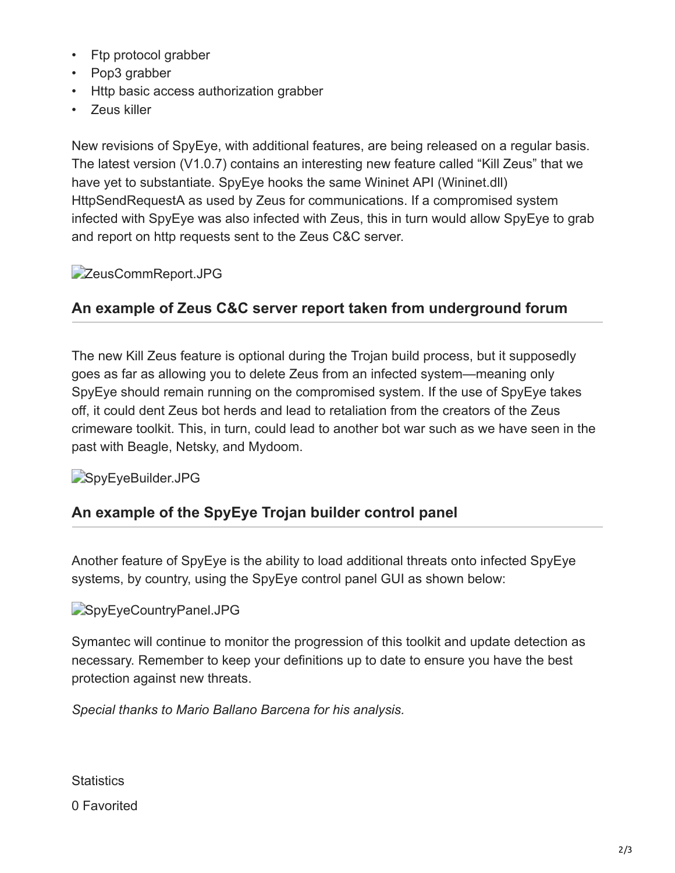- Ftp protocol grabber
- Pop3 grabber
- Http basic access authorization grabber
- Zeus killer

New revisions of SpyEye, with additional features, are being released on a regular basis. The latest version (V1.0.7) contains an interesting new feature called "Kill Zeus" that we have yet to substantiate. SpyEye hooks the same Wininet API (Wininet.dll) HttpSendRequestA as used by Zeus for communications. If a compromised system infected with SpyEye was also infected with Zeus, this in turn would allow SpyEye to grab and report on http requests sent to the Zeus C&C server.

### **ZeusCommReport.JPG**

### **An example of Zeus C&C server report taken from underground forum**

The new Kill Zeus feature is optional during the Trojan build process, but it supposedly goes as far as allowing you to delete Zeus from an infected system—meaning only SpyEye should remain running on the compromised system. If the use of SpyEye takes off, it could dent Zeus bot herds and lead to retaliation from the creators of the Zeus crimeware toolkit. This, in turn, could lead to another bot war such as we have seen in the past with Beagle, Netsky, and Mydoom.

#### SpyEyeBuilder.JPG

### **An example of the SpyEye Trojan builder control panel**

Another feature of SpyEye is the ability to load additional threats onto infected SpyEye systems, by country, using the SpyEye control panel GUI as shown below:

#### SpyEyeCountryPanel.JPG

Symantec will continue to monitor the progression of this toolkit and update detection as necessary. Remember to keep your definitions up to date to ensure you have the best protection against new threats.

*Special thanks to Mario Ballano Barcena for his analysis.*

**Statistics** 

0 Favorited